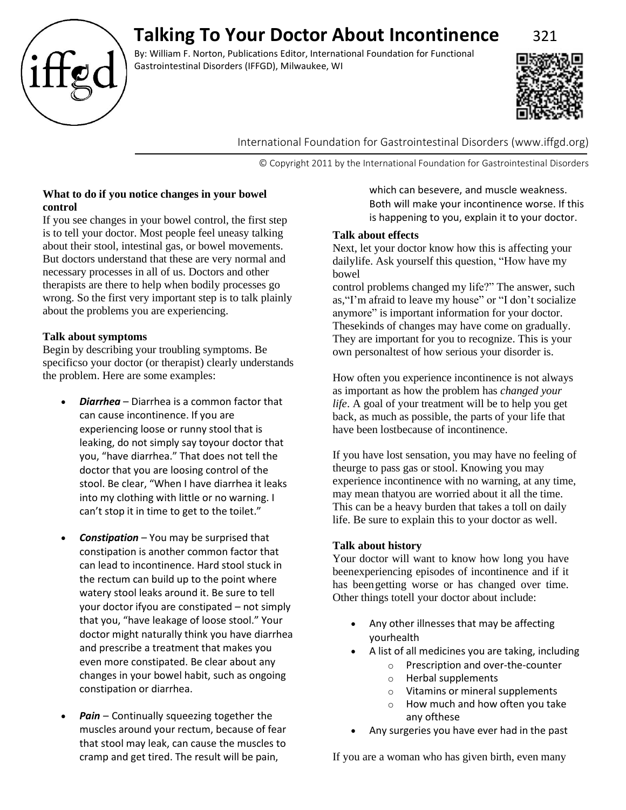

# **Talking To Your Doctor About Incontinence** 321

By: William F. Norton, Publications Editor, International Foundation for Functional Gastrointestinal Disorders (IFFGD), Milwaukee, WI



International Foundation for Gastrointestinal Disorders (www.iffgd.org)

© Copyright 2011 by the International Foundation for Gastrointestinal Disorders

# **What to do if you notice changes in your bowel control**

If you see changes in your bowel control, the first step is to tell your doctor. Most people feel uneasy talking about their stool, intestinal gas, or bowel movements. But doctors understand that these are very normal and necessary processes in all of us. Doctors and other therapists are there to help when bodily processes go wrong. So the first very important step is to talk plainly about the problems you are experiencing.

# **Talk about symptoms**

Begin by describing your troubling symptoms. Be specificso your doctor (or therapist) clearly understands the problem. Here are some examples:

- *Diarrhea*  Diarrhea is a common factor that can cause incontinence. If you are experiencing loose or runny stool that is leaking, do not simply say toyour doctor that you, "have diarrhea." That does not tell the doctor that you are loosing control of the stool. Be clear, "When I have diarrhea it leaks into my clothing with little or no warning. I can't stop it in time to get to the toilet."
- *Constipation*  You may be surprised that constipation is another common factor that can lead to incontinence. Hard stool stuck in the rectum can build up to the point where watery stool leaks around it. Be sure to tell your doctor ifyou are constipated – not simply that you, "have leakage of loose stool." Your doctor might naturally think you have diarrhea and prescribe a treatment that makes you even more constipated. Be clear about any changes in your bowel habit, such as ongoing constipation or diarrhea.
- *Pain* Continually squeezing together the muscles around your rectum, because of fear that stool may leak, can cause the muscles to cramp and get tired. The result will be pain,

which can besevere, and muscle weakness. Both will make your incontinence worse. If this is happening to you, explain it to your doctor.

# **Talk about effects**

Next, let your doctor know how this is affecting your dailylife. Ask yourself this question, "How have my bowel

control problems changed my life?" The answer, such as,"I'm afraid to leave my house" or "I don't socialize anymore" is important information for your doctor. Thesekinds of changes may have come on gradually. They are important for you to recognize. This is your own personaltest of how serious your disorder is.

How often you experience incontinence is not always as important as how the problem has *changed your life*. A goal of your treatment will be to help you get back, as much as possible, the parts of your life that have been lostbecause of incontinence.

If you have lost sensation, you may have no feeling of theurge to pass gas or stool. Knowing you may experience incontinence with no warning, at any time, may mean thatyou are worried about it all the time. This can be a heavy burden that takes a toll on daily life. Be sure to explain this to your doctor as well.

# **Talk about history**

Your doctor will want to know how long you have beenexperiencing episodes of incontinence and if it has beengetting worse or has changed over time. Other things totell your doctor about include:

- Any other illnesses that may be affecting yourhealth
- A list of all medicines you are taking, including
	- o Prescription and over-the-counter
	- o Herbal supplements
	- o Vitamins or mineral supplements
	- o How much and how often you take any ofthese
- Any surgeries you have ever had in the past

If you are a woman who has given birth, even many